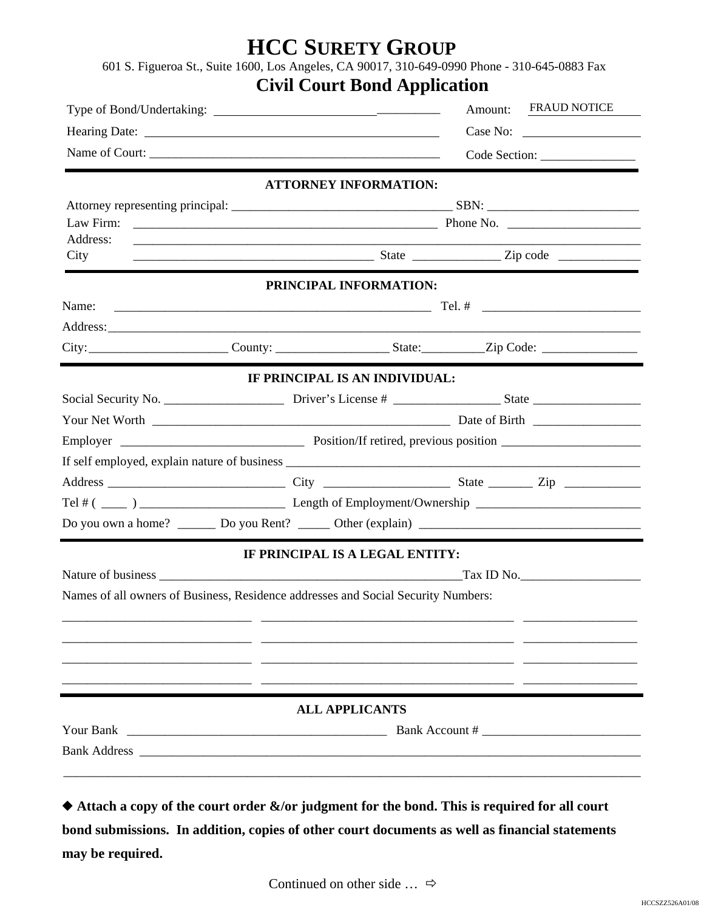## **HCC SURETY GROUP**

601 S. Figueroa St., Suite 1600, Los Angeles, CA 90017, 310-649-0990 Phone - 310-645-0883 Fax

### **Civil Court Bond Application**

|                                                                                   |                                                                                                                                                                                                                                      |                                 |  | Amount: FRAUD NOTICE                             |  |  |  |
|-----------------------------------------------------------------------------------|--------------------------------------------------------------------------------------------------------------------------------------------------------------------------------------------------------------------------------------|---------------------------------|--|--------------------------------------------------|--|--|--|
|                                                                                   |                                                                                                                                                                                                                                      |                                 |  | Case No:                                         |  |  |  |
|                                                                                   |                                                                                                                                                                                                                                      |                                 |  |                                                  |  |  |  |
|                                                                                   |                                                                                                                                                                                                                                      | <b>ATTORNEY INFORMATION:</b>    |  |                                                  |  |  |  |
|                                                                                   |                                                                                                                                                                                                                                      |                                 |  |                                                  |  |  |  |
|                                                                                   |                                                                                                                                                                                                                                      |                                 |  |                                                  |  |  |  |
| Address:<br>City                                                                  |                                                                                                                                                                                                                                      |                                 |  | the control of the control of the control of the |  |  |  |
|                                                                                   |                                                                                                                                                                                                                                      |                                 |  |                                                  |  |  |  |
| Name:                                                                             |                                                                                                                                                                                                                                      | PRINCIPAL INFORMATION:          |  |                                                  |  |  |  |
|                                                                                   |                                                                                                                                                                                                                                      |                                 |  |                                                  |  |  |  |
|                                                                                   |                                                                                                                                                                                                                                      |                                 |  |                                                  |  |  |  |
|                                                                                   |                                                                                                                                                                                                                                      | IF PRINCIPAL IS AN INDIVIDUAL:  |  |                                                  |  |  |  |
|                                                                                   |                                                                                                                                                                                                                                      |                                 |  |                                                  |  |  |  |
|                                                                                   |                                                                                                                                                                                                                                      |                                 |  |                                                  |  |  |  |
|                                                                                   |                                                                                                                                                                                                                                      |                                 |  |                                                  |  |  |  |
|                                                                                   |                                                                                                                                                                                                                                      |                                 |  |                                                  |  |  |  |
|                                                                                   |                                                                                                                                                                                                                                      |                                 |  |                                                  |  |  |  |
|                                                                                   |                                                                                                                                                                                                                                      |                                 |  |                                                  |  |  |  |
|                                                                                   |                                                                                                                                                                                                                                      |                                 |  |                                                  |  |  |  |
|                                                                                   |                                                                                                                                                                                                                                      | IF PRINCIPAL IS A LEGAL ENTITY: |  |                                                  |  |  |  |
|                                                                                   |                                                                                                                                                                                                                                      |                                 |  |                                                  |  |  |  |
| Names of all owners of Business, Residence addresses and Social Security Numbers: |                                                                                                                                                                                                                                      |                                 |  |                                                  |  |  |  |
|                                                                                   |                                                                                                                                                                                                                                      |                                 |  |                                                  |  |  |  |
|                                                                                   |                                                                                                                                                                                                                                      |                                 |  |                                                  |  |  |  |
|                                                                                   |                                                                                                                                                                                                                                      |                                 |  |                                                  |  |  |  |
|                                                                                   |                                                                                                                                                                                                                                      |                                 |  |                                                  |  |  |  |
|                                                                                   |                                                                                                                                                                                                                                      |                                 |  |                                                  |  |  |  |
|                                                                                   |                                                                                                                                                                                                                                      |                                 |  |                                                  |  |  |  |
| Your Bank                                                                         | <b>EXAMPLE 2014 THE SERVICE CONSUMING A SERVICE CONSUMING A SERVICE CONSUMING A SERVICE CONSUMING A SERVICE CONSUMING A SERVICE CONSUMING A SERVICE CONSUMING A SERVICE CONSUMING A SERVICE CONSUMING A SERVICE CONSUMING A SERV</b> | <b>ALL APPLICANTS</b>           |  |                                                  |  |  |  |

◆ Attach a copy of the court order *&/or* judgment for the bond. This is required for all court **bond submissions. In addition, copies of other court documents as well as financial statements may be required.**

Continued on other side  $\ldots \Leftrightarrow$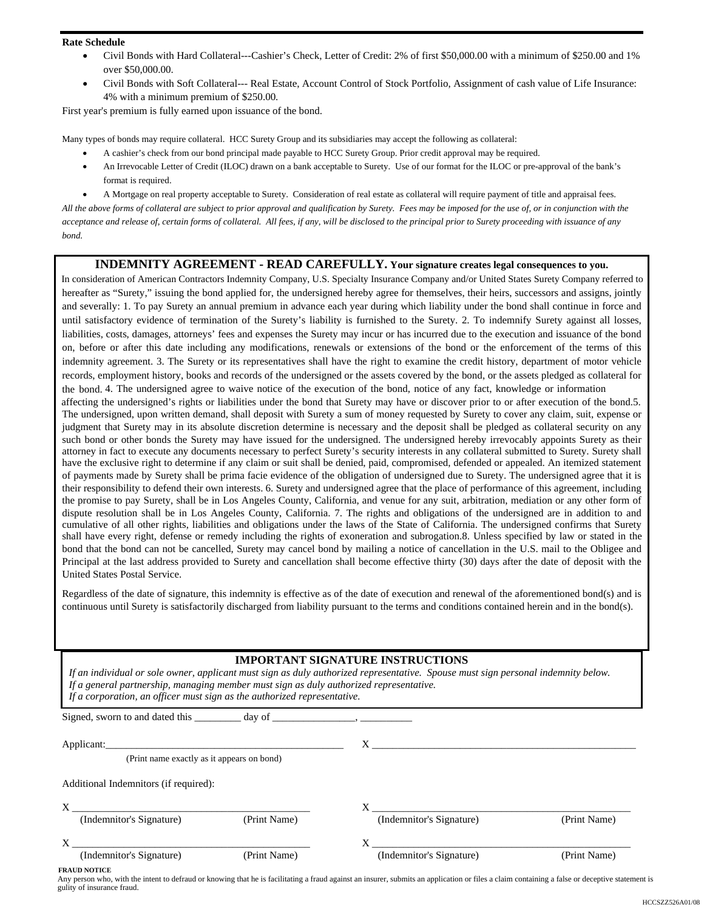#### **Rate Schedule**

- Civil Bonds with Hard Collateral---Cashier's Check, Letter of Credit: 2% of first \$50,000.00 with a minimum of \$250.00 and 1% over \$50,000.00.
- Civil Bonds with Soft Collateral--- Real Estate, Account Control of Stock Portfolio, Assignment of cash value of Life Insurance: 4% with a minimum premium of \$250.00.

First year's premium is fully earned upon issuance of the bond.

Many types of bonds may require collateral. HCC Surety Group and its subsidiaries may accept the following as collateral:

- A cashier's check from our bond principal made payable to HCC Surety Group. Prior credit approval may be required.
- An Irrevocable Letter of Credit (ILOC) drawn on a bank acceptable to Surety. Use of our format for the ILOC or pre-approval of the bank's format is required.
- A Mortgage on real property acceptable to Surety. Consideration of real estate as collateral will require payment of title and appraisal fees.

*All the above forms of collateral are subject to prior approval and qualification by Surety. Fees may be imposed for the use of, or in conjunction with the acceptance and release of, certain forms of collateral. All fees, if any, will be disclosed to the principal prior to Surety proceeding with issuance of any bond.* 

#### **INDEMNITY AGREEMENT - READ CAREFULLY. Your signature creates legal consequences to you.**

hereafter as "Surety," issuing the bond applied for, the undersigned hereby agree for themselves, their heirs, successors and assigns, jointly and severally: 1. To pay Surety an annual premium in advance each year during which liability under the bond shall continue in force and until satisfactory evidence of termination of the Surety's liability is furnished to the Surety. 2. To indemnify Surety against all losses, liabilities, costs, damages, attorneys' fees and expenses the Surety may incur or has incurred due to the execution and issuance of the bond on, before or after this date including any modifications, renewals or extensions of the bond or the enforcement of the terms of this indemnity agreement. 3. The Surety or its representatives shall have the right to examine the credit history, department of motor vehicle records, employment history, books and records of the undersigned or the assets covered by the bond, or the assets pledged as collateral for the bond. 4. The undersigned agree to waive notice of the execution of the bond, notice of any fact, knowledge or information In consideration of American Contractors Indemnity Company, U.S. Specialty Insurance Company and/or United States Surety Company referred to

affecting the undersigned's rights or liabilities under the bond that Surety may have or discover prior to or after execution of the bond.5. The undersigned, upon written demand, shall deposit with Surety a sum of money requested by Surety to cover any claim, suit, expense or judgment that Surety may in its absolute discretion determine is necessary and the deposit shall be pledged as collateral security on any such bond or other bonds the Surety may have issued for the undersigned. The undersigned hereby irrevocably appoints Surety as their attorney in fact to execute any documents necessary to perfect Surety's security interests in any collateral submitted to Surety. Surety shall have the exclusive right to determine if any claim or suit shall be denied, paid, compromised, defended or appealed. An itemized statement of payments made by Surety shall be prima facie evidence of the obligation of undersigned due to Surety. The undersigned agree that it is their responsibility to defend their own interests. 6. Surety and undersigned agree that the place of performance of this agreement, including the promise to pay Surety, shall be in Los Angeles County, California, and venue for any suit, arbitration, mediation or any other form of dispute resolution shall be in Los Angeles County, California. 7. The rights and obligations of the undersigned are in addition to and cumulative of all other rights, liabilities and obligations under the laws of the State of California. The undersigned confirms that Surety shall have every right, defense or remedy including the rights of exoneration and subrogation.8. Unless specified by law or stated in the bond that the bond can not be cancelled, Surety may cancel bond by mailing a notice of cancellation in the U.S. mail to the Obligee and Principal at the last address provided to Surety and cancellation shall become effective thirty (30) days after the date of deposit with the United States Postal Service.

Regardless of the date of signature, this indemnity is effective as of the date of execution and renewal of the aforementioned bond(s) and is continuous until Surety is satisfactorily discharged from liability pursuant to the terms and conditions contained herein and in the bond(s).

#### **IMPORTANT SIGNATURE INSTRUCTIONS**

*If an individual or sole owner, applicant must sign as duly authorized representative. Spouse must sign personal indemnity below. If a general partnership, managing member must sign as duly authorized representative. If a corporation, an officer must sign as the authorized representative.*

| Signed, sworn to and dated this day of health and subset of the same day of health and set of the same day of health and set of the same day of health and set of the same day of health and set of the same day of health and |                          |              |                          |              |  |  |  |
|--------------------------------------------------------------------------------------------------------------------------------------------------------------------------------------------------------------------------------|--------------------------|--------------|--------------------------|--------------|--|--|--|
| Applicant:<br>(Print name exactly as it appears on bond)                                                                                                                                                                       |                          |              | $X \sim 1$               |              |  |  |  |
| Additional Indemnitors (if required):                                                                                                                                                                                          |                          |              |                          |              |  |  |  |
| X                                                                                                                                                                                                                              |                          |              |                          |              |  |  |  |
|                                                                                                                                                                                                                                | (Indemnitor's Signature) | (Print Name) | (Indemnitor's Signature) | (Print Name) |  |  |  |
| X                                                                                                                                                                                                                              |                          |              |                          |              |  |  |  |
|                                                                                                                                                                                                                                | (Indemnitor's Signature) | (Print Name) | (Indemnitor's Signature) | (Print Name) |  |  |  |

FRAUD NOTICE<br>Any person who, with the intent to defraud or knowing that he is facilitating a fraud against an insurer, submits an application or files a claim containing a false or deceptive statement is<br>gulity of insuranc gulity of insurance fraud.